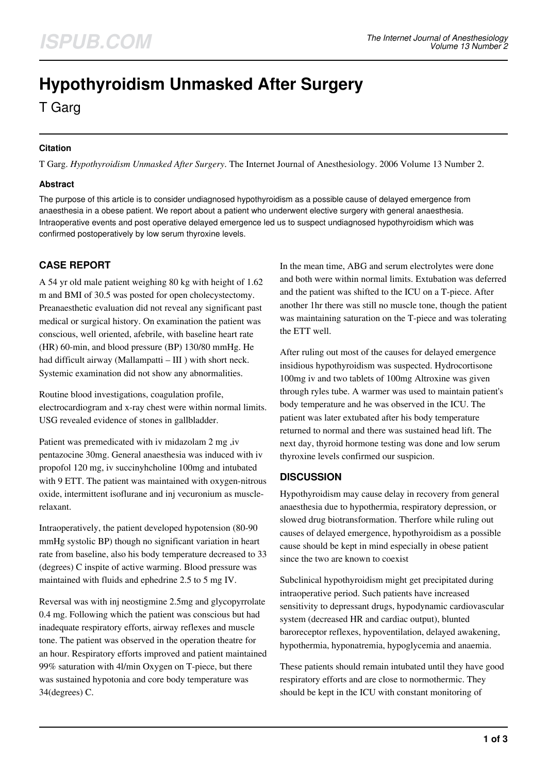# **Hypothyroidism Unmasked After Surgery**

T Garg

## **Citation**

T Garg. *Hypothyroidism Unmasked After Surgery*. The Internet Journal of Anesthesiology. 2006 Volume 13 Number 2.

### **Abstract**

The purpose of this article is to consider undiagnosed hypothyroidism as a possible cause of delayed emergence from anaesthesia in a obese patient. We report about a patient who underwent elective surgery with general anaesthesia. Intraoperative events and post operative delayed emergence led us to suspect undiagnosed hypothyroidism which was confirmed postoperatively by low serum thyroxine levels.

# **CASE REPORT**

A 54 yr old male patient weighing 80 kg with height of 1.62 m and BMI of 30.5 was posted for open cholecystectomy. Preanaesthetic evaluation did not reveal any significant past medical or surgical history. On examination the patient was conscious, well oriented, afebrile, with baseline heart rate (HR) 60-min, and blood pressure (BP) 130/80 mmHg. He had difficult airway (Mallampatti – III) with short neck. Systemic examination did not show any abnormalities.

Routine blood investigations, coagulation profile, electrocardiogram and x-ray chest were within normal limits. USG revealed evidence of stones in gallbladder.

Patient was premedicated with iv midazolam 2 mg ,iv pentazocine 30mg. General anaesthesia was induced with iv propofol 120 mg, iv succinyhcholine 100mg and intubated with 9 ETT. The patient was maintained with oxygen-nitrous oxide, intermittent isoflurane and inj vecuronium as musclerelaxant.

Intraoperatively, the patient developed hypotension (80-90 mmHg systolic BP) though no significant variation in heart rate from baseline, also his body temperature decreased to 33 (degrees) C inspite of active warming. Blood pressure was maintained with fluids and ephedrine 2.5 to 5 mg IV.

Reversal was with inj neostigmine 2.5mg and glycopyrrolate 0.4 mg. Following which the patient was conscious but had inadequate respiratory efforts, airway reflexes and muscle tone. The patient was observed in the operation theatre for an hour. Respiratory efforts improved and patient maintained 99% saturation with 4l/min Oxygen on T-piece, but there was sustained hypotonia and core body temperature was 34(degrees) C.

In the mean time, ABG and serum electrolytes were done and both were within normal limits. Extubation was deferred and the patient was shifted to the ICU on a T-piece. After another 1hr there was still no muscle tone, though the patient was maintaining saturation on the T-piece and was tolerating the ETT well.

After ruling out most of the causes for delayed emergence insidious hypothyroidism was suspected. Hydrocortisone 100mg iv and two tablets of 100mg Altroxine was given through ryles tube. A warmer was used to maintain patient's body temperature and he was observed in the ICU. The patient was later extubated after his body temperature returned to normal and there was sustained head lift. The next day, thyroid hormone testing was done and low serum thyroxine levels confirmed our suspicion.

## **DISCUSSION**

Hypothyroidism may cause delay in recovery from general anaesthesia due to hypothermia, respiratory depression, or slowed drug biotransformation. Therfore while ruling out causes of delayed emergence, hypothyroidism as a possible cause should be kept in mind especially in obese patient since the two are known to coexist

Subclinical hypothyroidism might get precipitated during intraoperative period. Such patients have increased sensitivity to depressant drugs, hypodynamic cardiovascular system (decreased HR and cardiac output), blunted baroreceptor reflexes, hypoventilation, delayed awakening, hypothermia, hyponatremia, hypoglycemia and anaemia.

These patients should remain intubated until they have good respiratory efforts and are close to normothermic. They should be kept in the ICU with constant monitoring of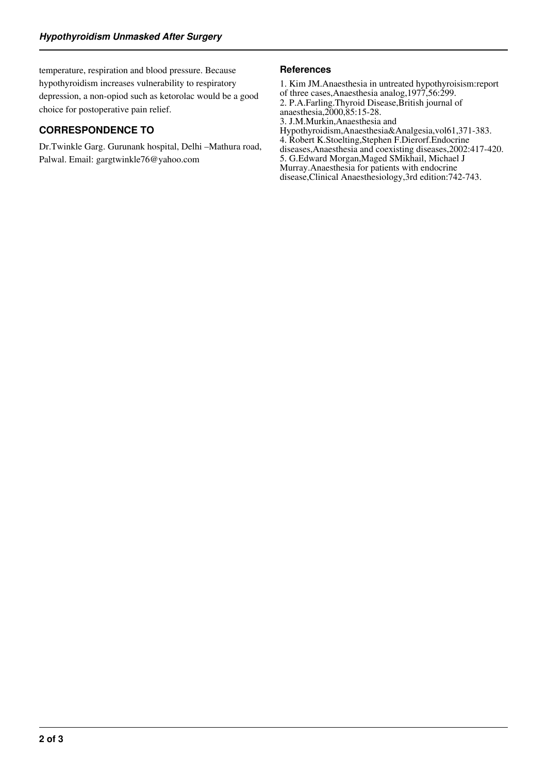temperature, respiration and blood pressure. Because hypothyroidism increases vulnerability to respiratory depression, a non-opiod such as ketorolac would be a good choice for postoperative pain relief.

# **CORRESPONDENCE TO**

Dr.Twinkle Garg. Gurunank hospital, Delhi –Mathura road, Palwal. Email: gargtwinkle76@yahoo.com

#### **References**

1. Kim JM.Anaesthesia in untreated hypothyroisism:report of three cases,Anaesthesia analog,1977,56:299. 2. P.A.Farling.Thyroid Disease,British journal of anaesthesia,2000,85:15-28. 3. J.M.Murkin,Anaesthesia and Hypothyroidism,Anaesthesia&Analgesia,vol61,371-383. 4. Robert K.Stoelting,Stephen F.Dierorf.Endocrine diseases,Anaesthesia and coexisting diseases,2002:417-420. 5. G.Edward Morgan,Maged SMikhail, Michael J Murray.Anaesthesia for patients with endocrine disease,Clinical Anaesthesiology,3rd edition:742-743.